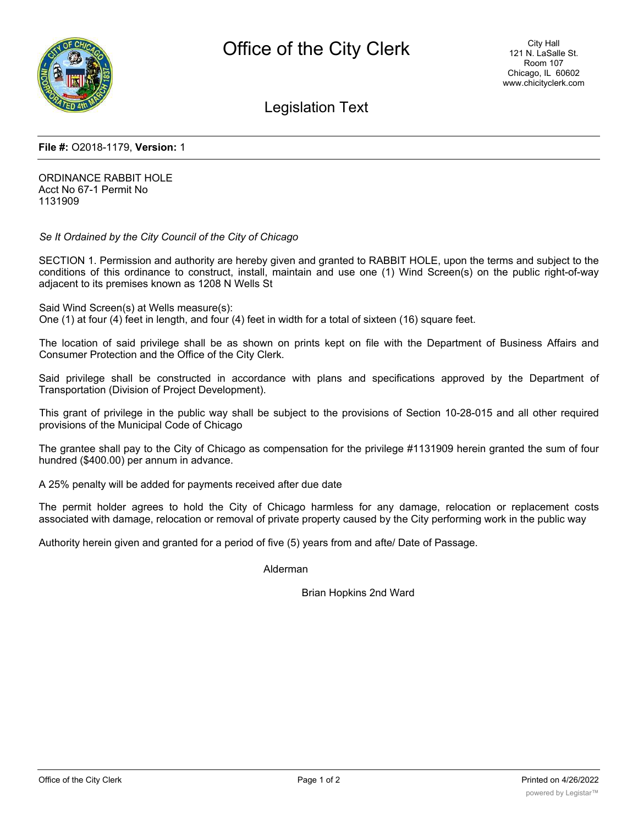

# Legislation Text

## **File #:** O2018-1179, **Version:** 1

ORDINANCE RABBIT HOLE Acct No 67-1 Permit No 1131909

*Se It Ordained by the City Council of the City of Chicago*

SECTION 1. Permission and authority are hereby given and granted to RABBIT HOLE, upon the terms and subject to the conditions of this ordinance to construct, install, maintain and use one (1) Wind Screen(s) on the public right-of-way adjacent to its premises known as 1208 N Wells St

Said Wind Screen(s) at Wells measure(s):

One (1) at four (4) feet in length, and four (4) feet in width for a total of sixteen (16) square feet.

The location of said privilege shall be as shown on prints kept on file with the Department of Business Affairs and Consumer Protection and the Office of the City Clerk.

Said privilege shall be constructed in accordance with plans and specifications approved by the Department of Transportation (Division of Project Development).

This grant of privilege in the public way shall be subject to the provisions of Section 10-28-015 and all other required provisions of the Municipal Code of Chicago

The grantee shall pay to the City of Chicago as compensation for the privilege #1131909 herein granted the sum of four hundred (\$400.00) per annum in advance.

A 25% penalty will be added for payments received after due date

The permit holder agrees to hold the City of Chicago harmless for any damage, relocation or replacement costs associated with damage, relocation or removal of private property caused by the City performing work in the public way

Authority herein given and granted for a period of five (5) years from and afte/ Date of Passage.

Alderman

Brian Hopkins 2nd Ward